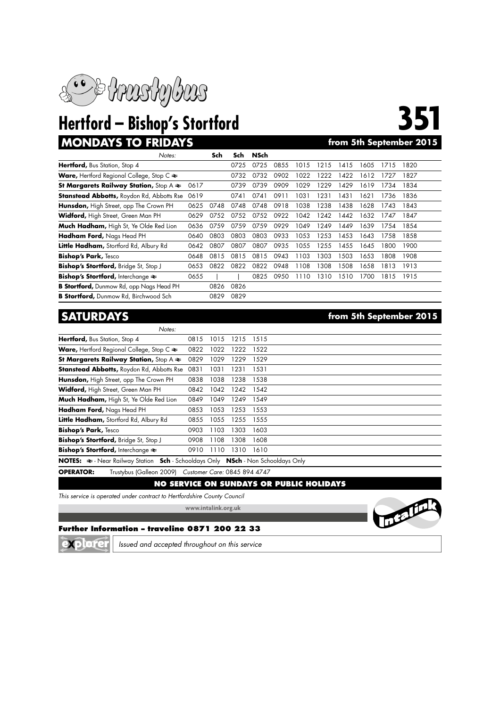

# **MONDAYS TO FRIDAYS**

| Notes:                                                              |      | Sch  | Sch  | NSch |      |      |      |      |      |      |      |
|---------------------------------------------------------------------|------|------|------|------|------|------|------|------|------|------|------|
| Hertford, Bus Station, Stop 4                                       |      |      | 0725 | 0725 | 0855 | 1015 | 1215 | 1415 | 1605 | 1715 | 1820 |
| <b>Ware, Hertford Regional College, Stop C <math>\approx</math></b> |      |      | 0732 | 0732 | 0902 | 1022 | 1222 | 1422 | 1612 | 1727 | 1827 |
| St Margarets Railway Station, Stop $A \rightleftharpoons$           | 0617 |      | 0739 | 0739 | 0909 | 1029 | 1229 | 1429 | 1619 | 1734 | 1834 |
| <b>Stanstead Abbotts, Roydon Rd, Abbotts Rse</b>                    | 0619 |      | 0741 | 0741 | 0911 | 1031 | 1231 | 1431 | 1621 | 1736 | 1836 |
| Hunsdon, High Street, opp The Crown PH                              | 0625 | 0748 | 0748 | 0748 | 0918 | 1038 | 1238 | 1438 | 1628 | 1743 | 1843 |
| Widford, High Street, Green Man PH                                  | 0629 | 0752 | 0752 | 0752 | 0922 | 1042 | 1242 | 1442 | 1632 | 1747 | 1847 |
| Much Hadham, High St, Ye Olde Red Lion                              | 0636 | 0759 | 0759 | 0759 | 0929 | 1049 | 1249 | 1449 | 1639 | 1754 | 1854 |
| Hadham Ford, Nags Head PH                                           | 0640 | 0803 | 0803 | 0803 | 0933 | 1053 | 1253 | 1453 | 1643 | 1758 | 1858 |
| Little Hadham, Stortford Rd, Albury Rd                              | 0642 | 0807 | 0807 | 0807 | 0935 | 1055 | 1255 | 1455 | 1645 | 1800 | 1900 |
| <b>Bishop's Park, Tesco</b>                                         | 0648 | 0815 | 0815 | 0815 | 0943 | 1103 | 1303 | 1503 | 1653 | 1808 | 1908 |
| Bishop's Stortford, Bridge St, Stop J                               | 0653 | 0822 | 0822 | 0822 | 0948 | 1108 | 1308 | 1508 | 1658 | 1813 | 1913 |
| <b>Bishop's Stortford, Interchange <math>\approx</math></b>         | 0655 |      |      | 0825 | 0950 | 1110 | 1310 | 510  | 700  | 1815 | 1915 |
| <b>B Stortford, Dunmow Rd, opp Nags Head PH</b>                     |      | 0826 | 0826 |      |      |      |      |      |      |      |      |
| <b>B Stortford, Dunmow Rd, Birchwood Sch</b>                        |      | 0829 | 0829 |      |      |      |      |      |      |      |      |

## *Notes:* **Hertford,** Bus Station, Stop 4 0815 1015 1215 1515 **Ware, Hertford Regional College, Stop C**  $\approx$  **0822 1022 1222 1522 St Margarets Railway Station,** Stop A  $\approx$  0829 1029 1229 1529 **Stanstead Abbotts,** Roydon Rd, Abbotts Rse 0831 1031 1231 1531 Hunsdon, High Street, opp The Crown PH 0838 1038 1238 1538 **Widford,** High Street, Green Man PH 0842 1042 1242 1542 **Much Hadham,** High St, Ye Olde Red Lion 0849 1049 1249 1549 **Hadham Ford,** Nags Head PH 0853 1053 1253 1553 Little Hadham, Stortford Rd, Albury Rd 0855 1055 1255 1555 **Bishop's Park,** Tesco 0903 1103 1303 1603 **Bishop's Stortford,** Bridge St, Stop J 0908 1108 1308 1608 **Bishop's Stortford,** Interchange  $\approx$  0910 1110 1310 1610 **NOTES:**  $\approx$  - Near Railway Station **Sch** - Schooldays Only **NSch** - Non Schooldays Only

**OPERATOR:** Trustybus (Galleon 2009) *Customer Care:* 0845 894 4747

## **NO SERVICE ON SUNDAYS OR PUBLIC HOLIDAYS**

*This service is operated under contract to Hertfordshire County Council*

**www.intalink.org.uk**



## **Further Information – traveline 0871 200 22 33**



*Issued and accepted throughout on this service*

**SATURDAYS from 5th September 2015**